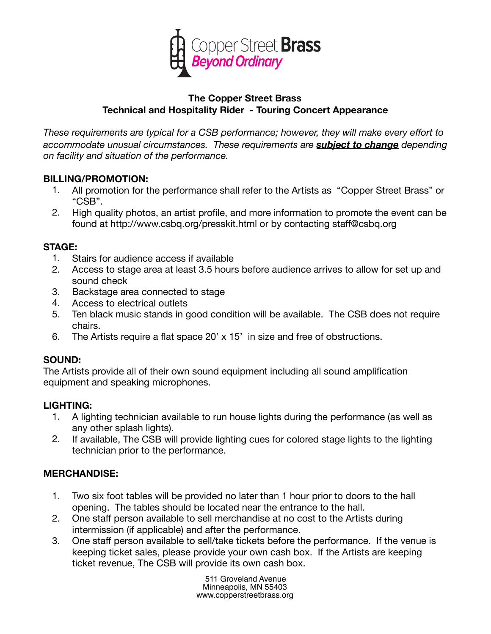

#### **The Copper Street Brass Technical and Hospitality Rider - Touring Concert Appearance**

*These requirements are typical for a CSB performance; however, they will make every effort to accommodate unusual circumstances. These requirements are subject to change depending on facility and situation of the performance.*

#### **BILLING/PROMOTION:**

- 1. All promotion for the performance shall refer to the Artists as "Copper Street Brass" or "CSB".
- 2. High quality photos, an artist profile, and more information to promote the event can be found at http://www.csbq.org/presskit.html or by contacting staff@csbq.org

#### **STAGE:**

- 1. Stairs for audience access if available
- 2. Access to stage area at least 3.5 hours before audience arrives to allow for set up and sound check
- 3. Backstage area connected to stage
- 4. Access to electrical outlets
- 5. Ten black music stands in good condition will be available. The CSB does not require chairs.
- 6. The Artists require a flat space 20' x 15' in size and free of obstructions.

## **SOUND:**

The Artists provide all of their own sound equipment including all sound amplification equipment and speaking microphones.

## **LIGHTING:**

- 1. A lighting technician available to run house lights during the performance (as well as any other splash lights).
- 2. If available, The CSB will provide lighting cues for colored stage lights to the lighting technician prior to the performance.

## **MERCHANDISE:**

- 1. Two six foot tables will be provided no later than 1 hour prior to doors to the hall opening. The tables should be located near the entrance to the hall.
- 2. One staff person available to sell merchandise at no cost to the Artists during intermission (if applicable) and after the performance.
- 3. One staff person available to sell/take tickets before the performance. If the venue is keeping ticket sales, please provide your own cash box. If the Artists are keeping ticket revenue, The CSB will provide its own cash box.

511 Groveland Avenue Minneapolis, MN 55403 www.copperstreetbrass.org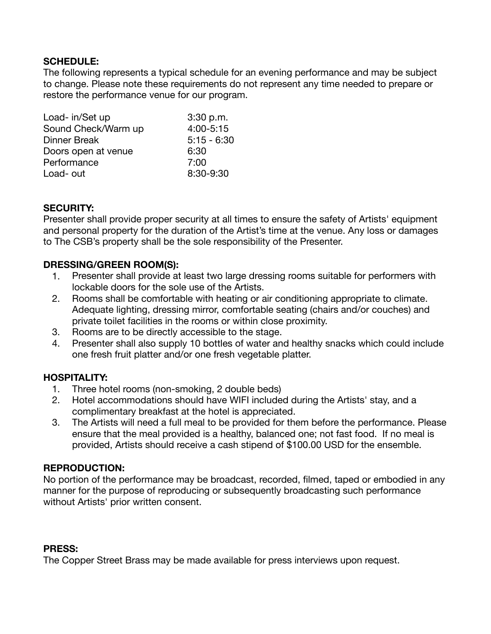## **SCHEDULE:**

The following represents a typical schedule for an evening performance and may be subject to change. Please note these requirements do not represent any time needed to prepare or restore the performance venue for our program.

| Load- in/Set up     | 3:30 p.m.     |
|---------------------|---------------|
| Sound Check/Warm up | 4:00-5:15     |
| <b>Dinner Break</b> | $5:15 - 6:30$ |
| Doors open at venue | 6:30          |
| Performance         | 7:00          |
| Load- out           | 8:30-9:30     |
|                     |               |

## **SECURITY:**

Presenter shall provide proper security at all times to ensure the safety of Artists' equipment and personal property for the duration of the Artist's time at the venue. Any loss or damages to The CSB's property shall be the sole responsibility of the Presenter.

#### **DRESSING/GREEN ROOM(S):**

- 1. Presenter shall provide at least two large dressing rooms suitable for performers with lockable doors for the sole use of the Artists.
- 2. Rooms shall be comfortable with heating or air conditioning appropriate to climate. Adequate lighting, dressing mirror, comfortable seating (chairs and/or couches) and private toilet facilities in the rooms or within close proximity.
- 3. Rooms are to be directly accessible to the stage.
- 4. Presenter shall also supply 10 bottles of water and healthy snacks which could include one fresh fruit platter and/or one fresh vegetable platter.

## **HOSPITALITY:**

- 1. Three hotel rooms (non-smoking, 2 double beds)
- 2. Hotel accommodations should have WIFI included during the Artists' stay, and a complimentary breakfast at the hotel is appreciated.
- 3. The Artists will need a full meal to be provided for them before the performance. Please ensure that the meal provided is a healthy, balanced one; not fast food. If no meal is provided, Artists should receive a cash stipend of \$100.00 USD for the ensemble.

#### **REPRODUCTION:**

No portion of the performance may be broadcast, recorded, filmed, taped or embodied in any manner for the purpose of reproducing or subsequently broadcasting such performance without Artists' prior written consent.

#### **PRESS:**

The Copper Street Brass may be made available for press interviews upon request.